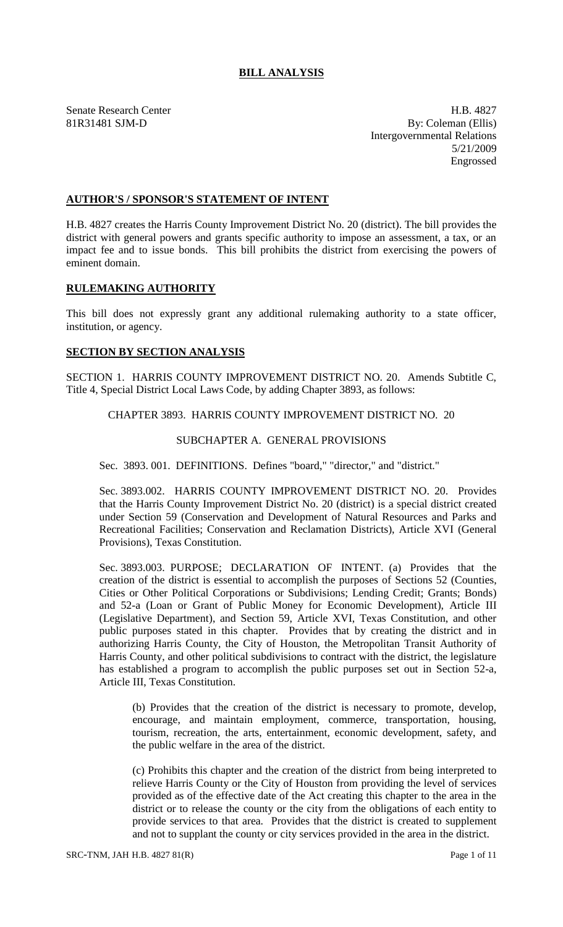# **BILL ANALYSIS**

Senate Research Center **H.B. 4827** 81R31481 SJM-D By: Coleman (Ellis) Intergovernmental Relations 5/21/2009 Engrossed

## **AUTHOR'S / SPONSOR'S STATEMENT OF INTENT**

H.B. 4827 creates the Harris County Improvement District No. 20 (district). The bill provides the district with general powers and grants specific authority to impose an assessment, a tax, or an impact fee and to issue bonds. This bill prohibits the district from exercising the powers of eminent domain.

## **RULEMAKING AUTHORITY**

This bill does not expressly grant any additional rulemaking authority to a state officer, institution, or agency.

## **SECTION BY SECTION ANALYSIS**

SECTION 1. HARRIS COUNTY IMPROVEMENT DISTRICT NO. 20. Amends Subtitle C, Title 4, Special District Local Laws Code, by adding Chapter 3893, as follows:

CHAPTER 3893. HARRIS COUNTY IMPROVEMENT DISTRICT NO. 20

#### SUBCHAPTER A. GENERAL PROVISIONS

Sec. 3893. 001. DEFINITIONS. Defines "board," "director," and "district."

Sec. 3893.002. HARRIS COUNTY IMPROVEMENT DISTRICT NO. 20. Provides that the Harris County Improvement District No. 20 (district) is a special district created under Section 59 (Conservation and Development of Natural Resources and Parks and Recreational Facilities; Conservation and Reclamation Districts), Article XVI (General Provisions), Texas Constitution.

Sec. 3893.003. PURPOSE; DECLARATION OF INTENT. (a) Provides that the creation of the district is essential to accomplish the purposes of Sections 52 (Counties, Cities or Other Political Corporations or Subdivisions; Lending Credit; Grants; Bonds) and 52-a (Loan or Grant of Public Money for Economic Development), Article III (Legislative Department), and Section 59, Article XVI, Texas Constitution, and other public purposes stated in this chapter. Provides that by creating the district and in authorizing Harris County, the City of Houston, the Metropolitan Transit Authority of Harris County, and other political subdivisions to contract with the district, the legislature has established a program to accomplish the public purposes set out in Section 52-a, Article III, Texas Constitution.

(b) Provides that the creation of the district is necessary to promote, develop, encourage, and maintain employment, commerce, transportation, housing, tourism, recreation, the arts, entertainment, economic development, safety, and the public welfare in the area of the district.

(c) Prohibits this chapter and the creation of the district from being interpreted to relieve Harris County or the City of Houston from providing the level of services provided as of the effective date of the Act creating this chapter to the area in the district or to release the county or the city from the obligations of each entity to provide services to that area. Provides that the district is created to supplement and not to supplant the county or city services provided in the area in the district.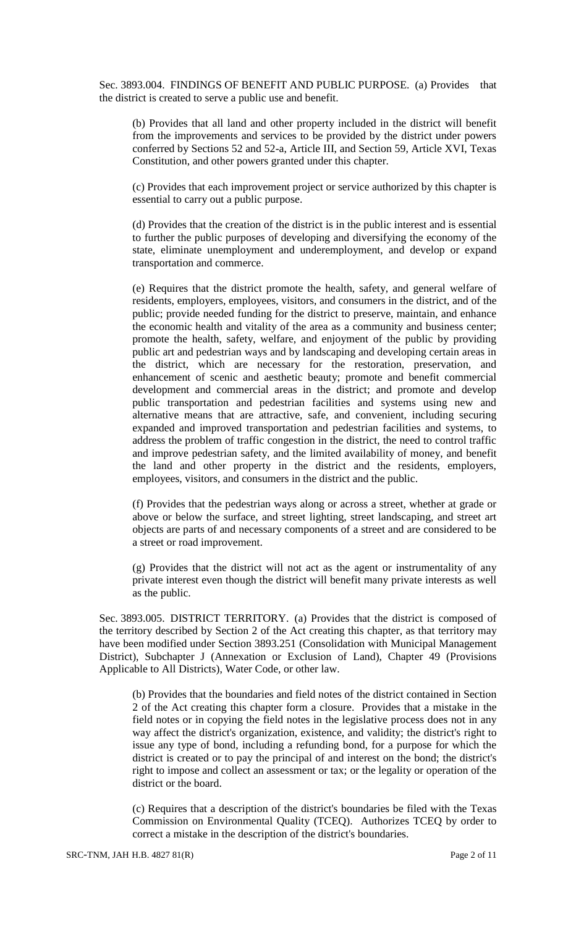Sec. 3893.004. FINDINGS OF BENEFIT AND PUBLIC PURPOSE. (a) Provides that the district is created to serve a public use and benefit.

(b) Provides that all land and other property included in the district will benefit from the improvements and services to be provided by the district under powers conferred by Sections 52 and 52-a, Article III, and Section 59, Article XVI, Texas Constitution, and other powers granted under this chapter.

(c) Provides that each improvement project or service authorized by this chapter is essential to carry out a public purpose.

(d) Provides that the creation of the district is in the public interest and is essential to further the public purposes of developing and diversifying the economy of the state, eliminate unemployment and underemployment, and develop or expand transportation and commerce.

(e) Requires that the district promote the health, safety, and general welfare of residents, employers, employees, visitors, and consumers in the district, and of the public; provide needed funding for the district to preserve, maintain, and enhance the economic health and vitality of the area as a community and business center; promote the health, safety, welfare, and enjoyment of the public by providing public art and pedestrian ways and by landscaping and developing certain areas in the district, which are necessary for the restoration, preservation, and enhancement of scenic and aesthetic beauty; promote and benefit commercial development and commercial areas in the district; and promote and develop public transportation and pedestrian facilities and systems using new and alternative means that are attractive, safe, and convenient, including securing expanded and improved transportation and pedestrian facilities and systems, to address the problem of traffic congestion in the district, the need to control traffic and improve pedestrian safety, and the limited availability of money, and benefit the land and other property in the district and the residents, employers, employees, visitors, and consumers in the district and the public.

(f) Provides that the pedestrian ways along or across a street, whether at grade or above or below the surface, and street lighting, street landscaping, and street art objects are parts of and necessary components of a street and are considered to be a street or road improvement.

(g) Provides that the district will not act as the agent or instrumentality of any private interest even though the district will benefit many private interests as well as the public.

Sec. 3893.005. DISTRICT TERRITORY. (a) Provides that the district is composed of the territory described by Section 2 of the Act creating this chapter, as that territory may have been modified under Section 3893.251 (Consolidation with Municipal Management District), Subchapter J (Annexation or Exclusion of Land), Chapter 49 (Provisions Applicable to All Districts), Water Code, or other law.

(b) Provides that the boundaries and field notes of the district contained in Section 2 of the Act creating this chapter form a closure. Provides that a mistake in the field notes or in copying the field notes in the legislative process does not in any way affect the district's organization, existence, and validity; the district's right to issue any type of bond, including a refunding bond, for a purpose for which the district is created or to pay the principal of and interest on the bond; the district's right to impose and collect an assessment or tax; or the legality or operation of the district or the board.

(c) Requires that a description of the district's boundaries be filed with the Texas Commission on Environmental Quality (TCEQ). Authorizes TCEQ by order to correct a mistake in the description of the district's boundaries.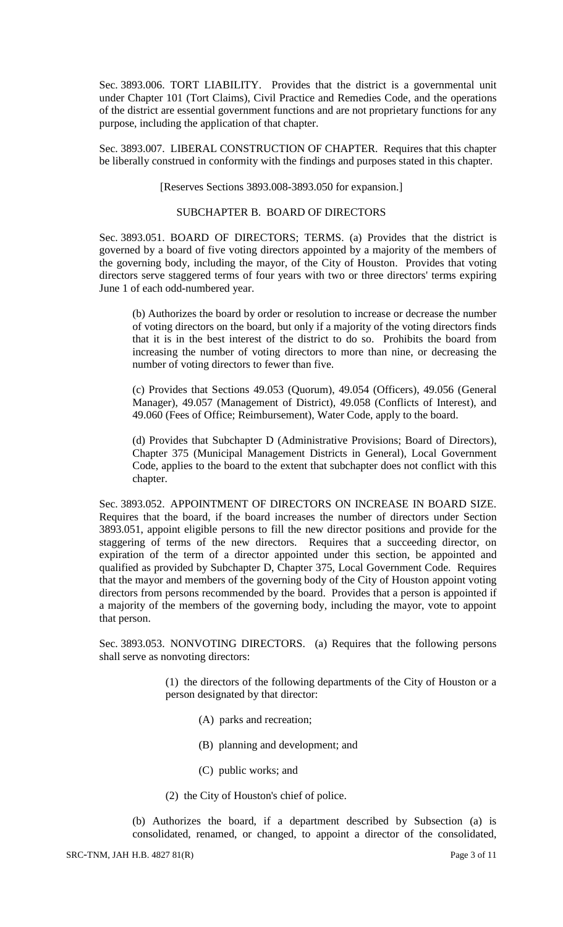Sec. 3893.006. TORT LIABILITY. Provides that the district is a governmental unit under Chapter 101 (Tort Claims), Civil Practice and Remedies Code, and the operations of the district are essential government functions and are not proprietary functions for any purpose, including the application of that chapter.

Sec. 3893.007. LIBERAL CONSTRUCTION OF CHAPTER. Requires that this chapter be liberally construed in conformity with the findings and purposes stated in this chapter.

[Reserves Sections 3893.008-3893.050 for expansion.]

## SUBCHAPTER B. BOARD OF DIRECTORS

Sec. 3893.051. BOARD OF DIRECTORS; TERMS. (a) Provides that the district is governed by a board of five voting directors appointed by a majority of the members of the governing body, including the mayor, of the City of Houston. Provides that voting directors serve staggered terms of four years with two or three directors' terms expiring June 1 of each odd-numbered year.

(b) Authorizes the board by order or resolution to increase or decrease the number of voting directors on the board, but only if a majority of the voting directors finds that it is in the best interest of the district to do so. Prohibits the board from increasing the number of voting directors to more than nine, or decreasing the number of voting directors to fewer than five.

(c) Provides that Sections 49.053 (Quorum), 49.054 (Officers), 49.056 (General Manager), 49.057 (Management of District), 49.058 (Conflicts of Interest), and 49.060 (Fees of Office; Reimbursement), Water Code, apply to the board.

(d) Provides that Subchapter D (Administrative Provisions; Board of Directors), Chapter 375 (Municipal Management Districts in General), Local Government Code, applies to the board to the extent that subchapter does not conflict with this chapter.

Sec. 3893.052. APPOINTMENT OF DIRECTORS ON INCREASE IN BOARD SIZE. Requires that the board, if the board increases the number of directors under Section 3893.051, appoint eligible persons to fill the new director positions and provide for the staggering of terms of the new directors. Requires that a succeeding director, on expiration of the term of a director appointed under this section, be appointed and qualified as provided by Subchapter D, Chapter 375, Local Government Code. Requires that the mayor and members of the governing body of the City of Houston appoint voting directors from persons recommended by the board. Provides that a person is appointed if a majority of the members of the governing body, including the mayor, vote to appoint that person.

Sec. 3893.053. NONVOTING DIRECTORS. (a) Requires that the following persons shall serve as nonvoting directors:

> (1) the directors of the following departments of the City of Houston or a person designated by that director:

- (A) parks and recreation;
- (B) planning and development; and
- (C) public works; and
- (2) the City of Houston's chief of police.

(b) Authorizes the board, if a department described by Subsection (a) is consolidated, renamed, or changed, to appoint a director of the consolidated,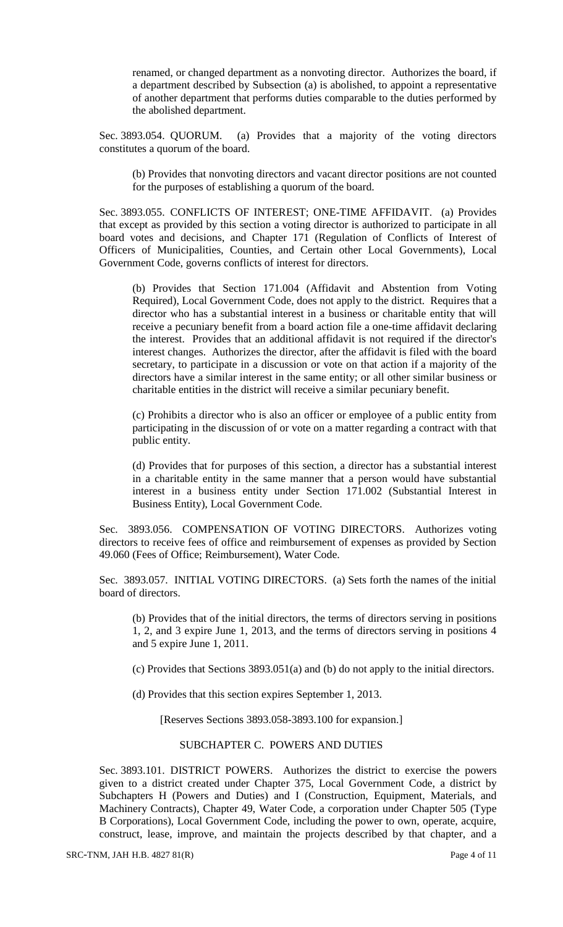renamed, or changed department as a nonvoting director. Authorizes the board, if a department described by Subsection (a) is abolished, to appoint a representative of another department that performs duties comparable to the duties performed by the abolished department.

Sec. 3893.054. QUORUM. (a) Provides that a majority of the voting directors constitutes a quorum of the board.

(b) Provides that nonvoting directors and vacant director positions are not counted for the purposes of establishing a quorum of the board.

Sec. 3893.055. CONFLICTS OF INTEREST; ONE-TIME AFFIDAVIT. (a) Provides that except as provided by this section a voting director is authorized to participate in all board votes and decisions, and Chapter 171 (Regulation of Conflicts of Interest of Officers of Municipalities, Counties, and Certain other Local Governments), Local Government Code, governs conflicts of interest for directors.

(b) Provides that Section 171.004 (Affidavit and Abstention from Voting Required), Local Government Code, does not apply to the district. Requires that a director who has a substantial interest in a business or charitable entity that will receive a pecuniary benefit from a board action file a one-time affidavit declaring the interest. Provides that an additional affidavit is not required if the director's interest changes. Authorizes the director, after the affidavit is filed with the board secretary, to participate in a discussion or vote on that action if a majority of the directors have a similar interest in the same entity; or all other similar business or charitable entities in the district will receive a similar pecuniary benefit.

(c) Prohibits a director who is also an officer or employee of a public entity from participating in the discussion of or vote on a matter regarding a contract with that public entity.

(d) Provides that for purposes of this section, a director has a substantial interest in a charitable entity in the same manner that a person would have substantial interest in a business entity under Section 171.002 (Substantial Interest in Business Entity), Local Government Code.

Sec. 3893.056. COMPENSATION OF VOTING DIRECTORS. Authorizes voting directors to receive fees of office and reimbursement of expenses as provided by Section 49.060 (Fees of Office; Reimbursement), Water Code.

Sec. 3893.057. INITIAL VOTING DIRECTORS. (a) Sets forth the names of the initial board of directors.

(b) Provides that of the initial directors, the terms of directors serving in positions 1, 2, and 3 expire June 1, 2013, and the terms of directors serving in positions 4 and 5 expire June 1, 2011.

(c) Provides that Sections 3893.051(a) and (b) do not apply to the initial directors.

(d) Provides that this section expires September 1, 2013.

[Reserves Sections 3893.058-3893.100 for expansion.]

## SUBCHAPTER C. POWERS AND DUTIES

Sec. 3893.101. DISTRICT POWERS. Authorizes the district to exercise the powers given to a district created under Chapter 375, Local Government Code, a district by Subchapters H (Powers and Duties) and I (Construction, Equipment, Materials, and Machinery Contracts), Chapter 49, Water Code, a corporation under Chapter 505 (Type B Corporations), Local Government Code, including the power to own, operate, acquire, construct, lease, improve, and maintain the projects described by that chapter, and a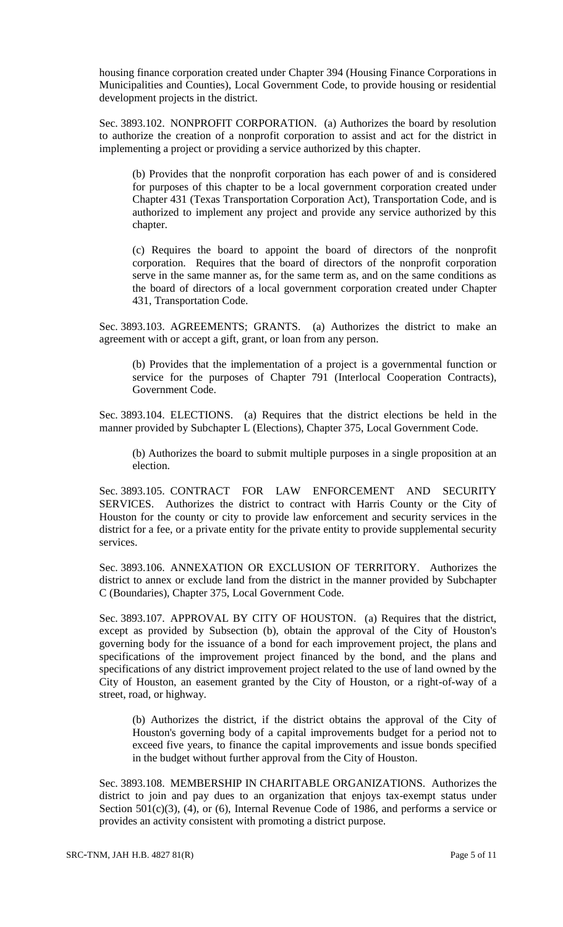housing finance corporation created under Chapter 394 (Housing Finance Corporations in Municipalities and Counties), Local Government Code, to provide housing or residential development projects in the district.

Sec. 3893.102. NONPROFIT CORPORATION. (a) Authorizes the board by resolution to authorize the creation of a nonprofit corporation to assist and act for the district in implementing a project or providing a service authorized by this chapter.

(b) Provides that the nonprofit corporation has each power of and is considered for purposes of this chapter to be a local government corporation created under Chapter 431 (Texas Transportation Corporation Act), Transportation Code, and is authorized to implement any project and provide any service authorized by this chapter.

(c) Requires the board to appoint the board of directors of the nonprofit corporation. Requires that the board of directors of the nonprofit corporation serve in the same manner as, for the same term as, and on the same conditions as the board of directors of a local government corporation created under Chapter 431, Transportation Code.

Sec. 3893.103. AGREEMENTS; GRANTS. (a) Authorizes the district to make an agreement with or accept a gift, grant, or loan from any person.

(b) Provides that the implementation of a project is a governmental function or service for the purposes of Chapter 791 (Interlocal Cooperation Contracts), Government Code.

Sec. 3893.104. ELECTIONS. (a) Requires that the district elections be held in the manner provided by Subchapter L (Elections), Chapter 375, Local Government Code.

(b) Authorizes the board to submit multiple purposes in a single proposition at an election.

Sec. 3893.105. CONTRACT FOR LAW ENFORCEMENT AND SECURITY SERVICES. Authorizes the district to contract with Harris County or the City of Houston for the county or city to provide law enforcement and security services in the district for a fee, or a private entity for the private entity to provide supplemental security services.

Sec. 3893.106. ANNEXATION OR EXCLUSION OF TERRITORY. Authorizes the district to annex or exclude land from the district in the manner provided by Subchapter C (Boundaries), Chapter 375, Local Government Code.

Sec. 3893.107. APPROVAL BY CITY OF HOUSTON. (a) Requires that the district, except as provided by Subsection (b), obtain the approval of the City of Houston's governing body for the issuance of a bond for each improvement project, the plans and specifications of the improvement project financed by the bond, and the plans and specifications of any district improvement project related to the use of land owned by the City of Houston, an easement granted by the City of Houston, or a right-of-way of a street, road, or highway.

(b) Authorizes the district, if the district obtains the approval of the City of Houston's governing body of a capital improvements budget for a period not to exceed five years, to finance the capital improvements and issue bonds specified in the budget without further approval from the City of Houston.

Sec. 3893.108. MEMBERSHIP IN CHARITABLE ORGANIZATIONS. Authorizes the district to join and pay dues to an organization that enjoys tax-exempt status under Section 501(c)(3), (4), or (6), Internal Revenue Code of 1986, and performs a service or provides an activity consistent with promoting a district purpose.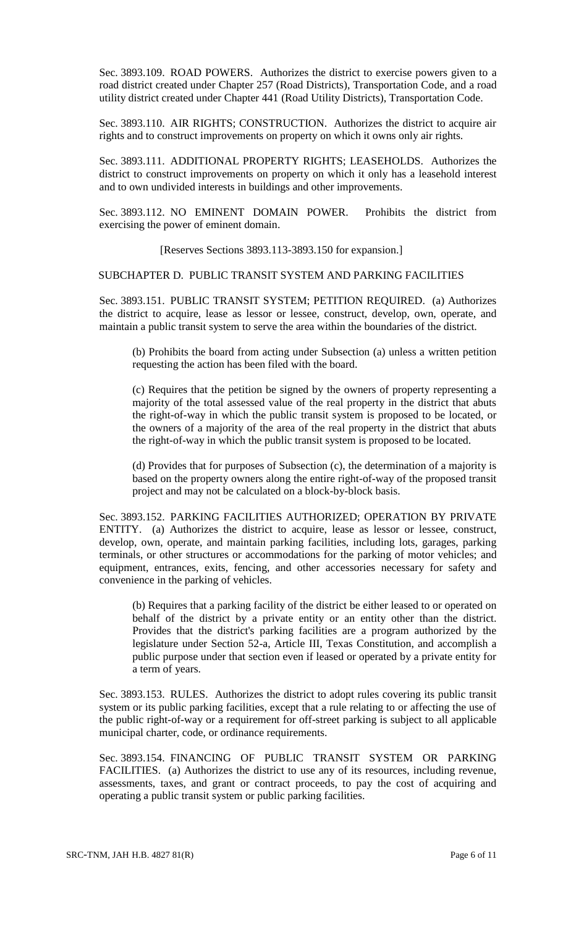Sec. 3893.109. ROAD POWERS. Authorizes the district to exercise powers given to a road district created under Chapter 257 (Road Districts), Transportation Code, and a road utility district created under Chapter 441 (Road Utility Districts), Transportation Code.

Sec. 3893.110. AIR RIGHTS; CONSTRUCTION. Authorizes the district to acquire air rights and to construct improvements on property on which it owns only air rights.

Sec. 3893.111. ADDITIONAL PROPERTY RIGHTS; LEASEHOLDS. Authorizes the district to construct improvements on property on which it only has a leasehold interest and to own undivided interests in buildings and other improvements.

Sec. 3893.112. NO EMINENT DOMAIN POWER. Prohibits the district from exercising the power of eminent domain.

[Reserves Sections 3893.113-3893.150 for expansion.]

#### SUBCHAPTER D. PUBLIC TRANSIT SYSTEM AND PARKING FACILITIES

Sec. 3893.151. PUBLIC TRANSIT SYSTEM; PETITION REQUIRED. (a) Authorizes the district to acquire, lease as lessor or lessee, construct, develop, own, operate, and maintain a public transit system to serve the area within the boundaries of the district.

(b) Prohibits the board from acting under Subsection (a) unless a written petition requesting the action has been filed with the board.

(c) Requires that the petition be signed by the owners of property representing a majority of the total assessed value of the real property in the district that abuts the right-of-way in which the public transit system is proposed to be located, or the owners of a majority of the area of the real property in the district that abuts the right-of-way in which the public transit system is proposed to be located.

(d) Provides that for purposes of Subsection (c), the determination of a majority is based on the property owners along the entire right-of-way of the proposed transit project and may not be calculated on a block-by-block basis.

Sec. 3893.152. PARKING FACILITIES AUTHORIZED; OPERATION BY PRIVATE ENTITY. (a) Authorizes the district to acquire, lease as lessor or lessee, construct, develop, own, operate, and maintain parking facilities, including lots, garages, parking terminals, or other structures or accommodations for the parking of motor vehicles; and equipment, entrances, exits, fencing, and other accessories necessary for safety and convenience in the parking of vehicles.

(b) Requires that a parking facility of the district be either leased to or operated on behalf of the district by a private entity or an entity other than the district. Provides that the district's parking facilities are a program authorized by the legislature under Section 52-a, Article III, Texas Constitution, and accomplish a public purpose under that section even if leased or operated by a private entity for a term of years.

Sec. 3893.153. RULES. Authorizes the district to adopt rules covering its public transit system or its public parking facilities, except that a rule relating to or affecting the use of the public right-of-way or a requirement for off-street parking is subject to all applicable municipal charter, code, or ordinance requirements.

Sec. 3893.154. FINANCING OF PUBLIC TRANSIT SYSTEM OR PARKING FACILITIES. (a) Authorizes the district to use any of its resources, including revenue, assessments, taxes, and grant or contract proceeds, to pay the cost of acquiring and operating a public transit system or public parking facilities.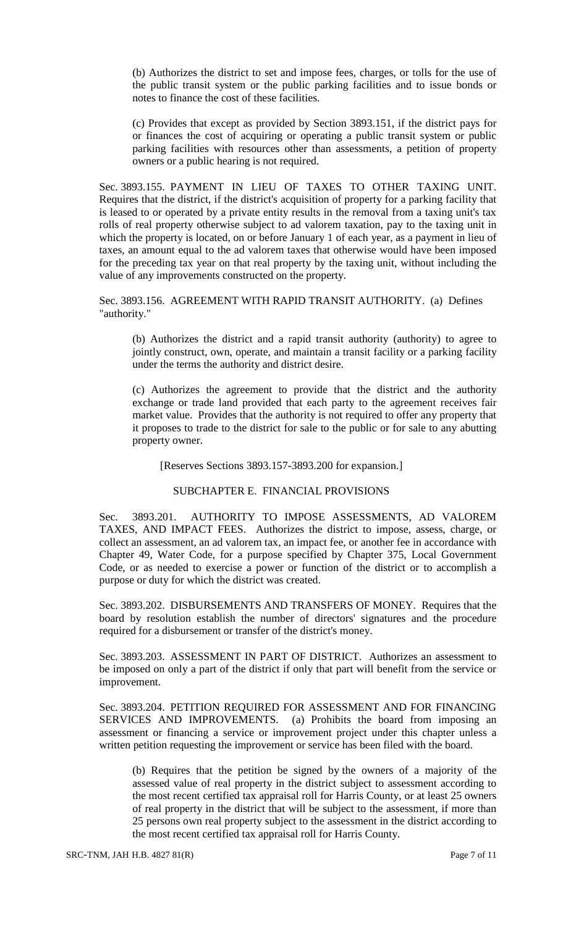(b) Authorizes the district to set and impose fees, charges, or tolls for the use of the public transit system or the public parking facilities and to issue bonds or notes to finance the cost of these facilities.

(c) Provides that except as provided by Section 3893.151, if the district pays for or finances the cost of acquiring or operating a public transit system or public parking facilities with resources other than assessments, a petition of property owners or a public hearing is not required.

Sec. 3893.155. PAYMENT IN LIEU OF TAXES TO OTHER TAXING UNIT. Requires that the district, if the district's acquisition of property for a parking facility that is leased to or operated by a private entity results in the removal from a taxing unit's tax rolls of real property otherwise subject to ad valorem taxation, pay to the taxing unit in which the property is located, on or before January 1 of each year, as a payment in lieu of taxes, an amount equal to the ad valorem taxes that otherwise would have been imposed for the preceding tax year on that real property by the taxing unit, without including the value of any improvements constructed on the property.

Sec. 3893.156. AGREEMENT WITH RAPID TRANSIT AUTHORITY. (a) Defines "authority."

(b) Authorizes the district and a rapid transit authority (authority) to agree to jointly construct, own, operate, and maintain a transit facility or a parking facility under the terms the authority and district desire.

(c) Authorizes the agreement to provide that the district and the authority exchange or trade land provided that each party to the agreement receives fair market value. Provides that the authority is not required to offer any property that it proposes to trade to the district for sale to the public or for sale to any abutting property owner.

[Reserves Sections 3893.157-3893.200 for expansion.]

#### SUBCHAPTER E. FINANCIAL PROVISIONS

Sec. 3893.201. AUTHORITY TO IMPOSE ASSESSMENTS, AD VALOREM TAXES, AND IMPACT FEES. Authorizes the district to impose, assess, charge, or collect an assessment, an ad valorem tax, an impact fee, or another fee in accordance with Chapter 49, Water Code, for a purpose specified by Chapter 375, Local Government Code, or as needed to exercise a power or function of the district or to accomplish a purpose or duty for which the district was created.

Sec. 3893.202. DISBURSEMENTS AND TRANSFERS OF MONEY. Requires that the board by resolution establish the number of directors' signatures and the procedure required for a disbursement or transfer of the district's money.

Sec. 3893.203. ASSESSMENT IN PART OF DISTRICT. Authorizes an assessment to be imposed on only a part of the district if only that part will benefit from the service or improvement.

Sec. 3893.204. PETITION REQUIRED FOR ASSESSMENT AND FOR FINANCING SERVICES AND IMPROVEMENTS. (a) Prohibits the board from imposing an assessment or financing a service or improvement project under this chapter unless a written petition requesting the improvement or service has been filed with the board.

(b) Requires that the petition be signed by the owners of a majority of the assessed value of real property in the district subject to assessment according to the most recent certified tax appraisal roll for Harris County, or at least 25 owners of real property in the district that will be subject to the assessment, if more than 25 persons own real property subject to the assessment in the district according to the most recent certified tax appraisal roll for Harris County.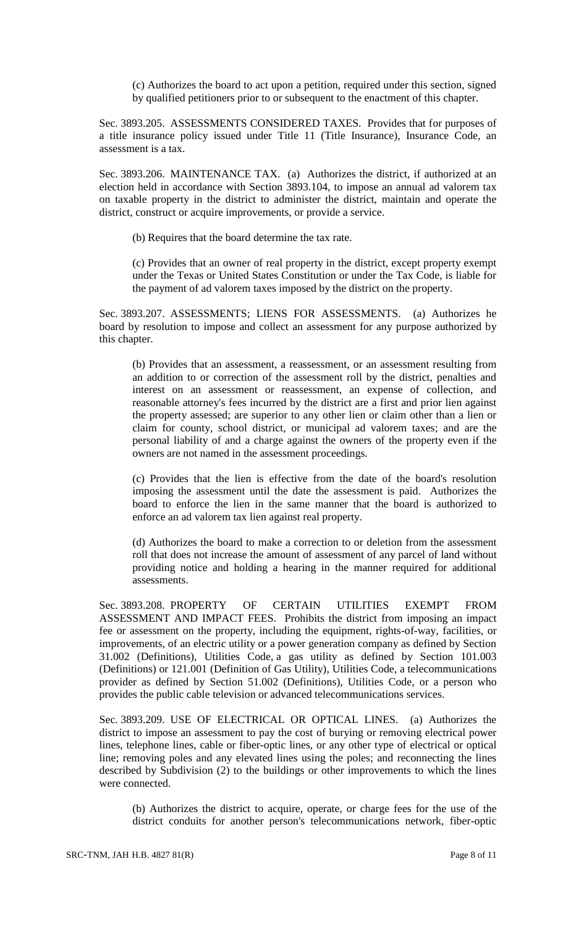(c) Authorizes the board to act upon a petition, required under this section, signed by qualified petitioners prior to or subsequent to the enactment of this chapter.

Sec. 3893.205. ASSESSMENTS CONSIDERED TAXES. Provides that for purposes of a title insurance policy issued under Title 11 (Title Insurance), Insurance Code, an assessment is a tax.

Sec. 3893.206. MAINTENANCE TAX. (a) Authorizes the district, if authorized at an election held in accordance with Section 3893.104, to impose an annual ad valorem tax on taxable property in the district to administer the district, maintain and operate the district, construct or acquire improvements, or provide a service.

(b) Requires that the board determine the tax rate.

(c) Provides that an owner of real property in the district, except property exempt under the Texas or United States Constitution or under the Tax Code, is liable for the payment of ad valorem taxes imposed by the district on the property.

Sec. 3893.207. ASSESSMENTS; LIENS FOR ASSESSMENTS. (a) Authorizes he board by resolution to impose and collect an assessment for any purpose authorized by this chapter.

(b) Provides that an assessment, a reassessment, or an assessment resulting from an addition to or correction of the assessment roll by the district, penalties and interest on an assessment or reassessment, an expense of collection, and reasonable attorney's fees incurred by the district are a first and prior lien against the property assessed; are superior to any other lien or claim other than a lien or claim for county, school district, or municipal ad valorem taxes; and are the personal liability of and a charge against the owners of the property even if the owners are not named in the assessment proceedings.

(c) Provides that the lien is effective from the date of the board's resolution imposing the assessment until the date the assessment is paid. Authorizes the board to enforce the lien in the same manner that the board is authorized to enforce an ad valorem tax lien against real property.

(d) Authorizes the board to make a correction to or deletion from the assessment roll that does not increase the amount of assessment of any parcel of land without providing notice and holding a hearing in the manner required for additional assessments.

Sec. 3893.208. PROPERTY OF CERTAIN UTILITIES EXEMPT FROM ASSESSMENT AND IMPACT FEES. Prohibits the district from imposing an impact fee or assessment on the property, including the equipment, rights-of-way, facilities, or improvements, of an electric utility or a power generation company as defined by Section 31.002 (Definitions), Utilities Code, a gas utility as defined by Section 101.003 (Definitions) or 121.001 (Definition of Gas Utility), Utilities Code, a telecommunications provider as defined by Section 51.002 (Definitions), Utilities Code, or a person who provides the public cable television or advanced telecommunications services.

Sec. 3893.209. USE OF ELECTRICAL OR OPTICAL LINES. (a) Authorizes the district to impose an assessment to pay the cost of burying or removing electrical power lines, telephone lines, cable or fiber-optic lines, or any other type of electrical or optical line; removing poles and any elevated lines using the poles; and reconnecting the lines described by Subdivision (2) to the buildings or other improvements to which the lines were connected.

(b) Authorizes the district to acquire, operate, or charge fees for the use of the district conduits for another person's telecommunications network, fiber-optic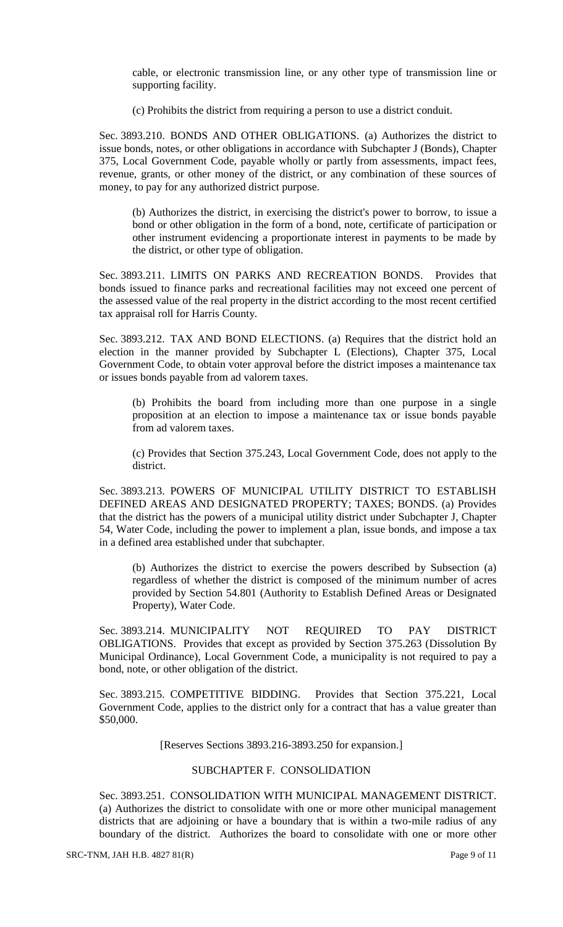cable, or electronic transmission line, or any other type of transmission line or supporting facility.

(c) Prohibits the district from requiring a person to use a district conduit.

Sec. 3893.210. BONDS AND OTHER OBLIGATIONS. (a) Authorizes the district to issue bonds, notes, or other obligations in accordance with Subchapter J (Bonds), Chapter 375, Local Government Code, payable wholly or partly from assessments, impact fees, revenue, grants, or other money of the district, or any combination of these sources of money, to pay for any authorized district purpose.

(b) Authorizes the district, in exercising the district's power to borrow, to issue a bond or other obligation in the form of a bond, note, certificate of participation or other instrument evidencing a proportionate interest in payments to be made by the district, or other type of obligation.

Sec. 3893.211. LIMITS ON PARKS AND RECREATION BONDS. Provides that bonds issued to finance parks and recreational facilities may not exceed one percent of the assessed value of the real property in the district according to the most recent certified tax appraisal roll for Harris County.

Sec. 3893.212. TAX AND BOND ELECTIONS. (a) Requires that the district hold an election in the manner provided by Subchapter L (Elections), Chapter 375, Local Government Code, to obtain voter approval before the district imposes a maintenance tax or issues bonds payable from ad valorem taxes.

(b) Prohibits the board from including more than one purpose in a single proposition at an election to impose a maintenance tax or issue bonds payable from ad valorem taxes.

(c) Provides that Section 375.243, Local Government Code, does not apply to the district.

Sec. 3893.213. POWERS OF MUNICIPAL UTILITY DISTRICT TO ESTABLISH DEFINED AREAS AND DESIGNATED PROPERTY; TAXES; BONDS. (a) Provides that the district has the powers of a municipal utility district under Subchapter J, Chapter 54, Water Code, including the power to implement a plan, issue bonds, and impose a tax in a defined area established under that subchapter.

(b) Authorizes the district to exercise the powers described by Subsection (a) regardless of whether the district is composed of the minimum number of acres provided by Section 54.801 (Authority to Establish Defined Areas or Designated Property), Water Code.

Sec. 3893.214. MUNICIPALITY NOT REQUIRED TO PAY DISTRICT OBLIGATIONS. Provides that except as provided by Section 375.263 (Dissolution By Municipal Ordinance), Local Government Code, a municipality is not required to pay a bond, note, or other obligation of the district.

Sec. 3893.215. COMPETITIVE BIDDING. Provides that Section 375.221, Local Government Code, applies to the district only for a contract that has a value greater than \$50,000.

[Reserves Sections 3893.216-3893.250 for expansion.]

## SUBCHAPTER F. CONSOLIDATION

Sec. 3893.251. CONSOLIDATION WITH MUNICIPAL MANAGEMENT DISTRICT. (a) Authorizes the district to consolidate with one or more other municipal management districts that are adjoining or have a boundary that is within a two-mile radius of any boundary of the district. Authorizes the board to consolidate with one or more other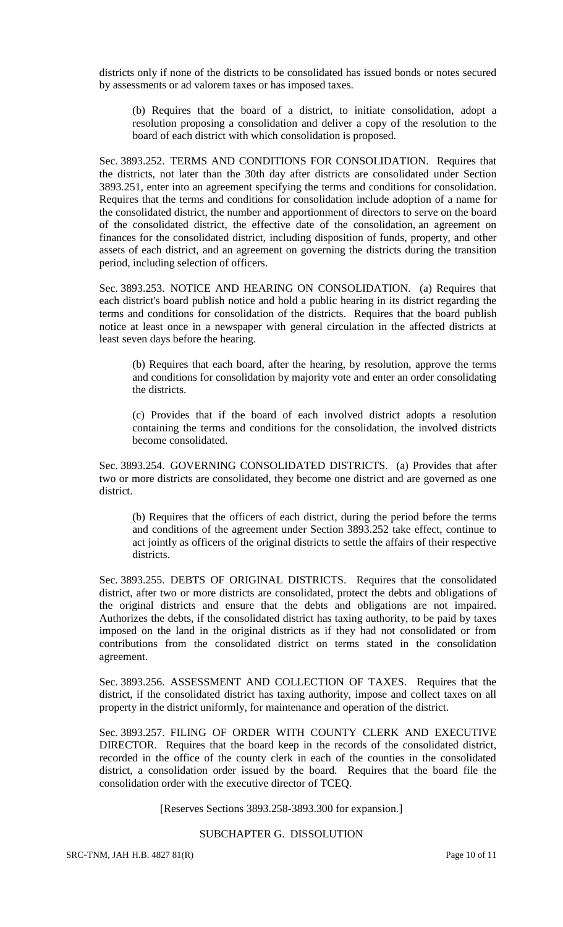districts only if none of the districts to be consolidated has issued bonds or notes secured by assessments or ad valorem taxes or has imposed taxes.

(b) Requires that the board of a district, to initiate consolidation, adopt a resolution proposing a consolidation and deliver a copy of the resolution to the board of each district with which consolidation is proposed.

Sec. 3893.252. TERMS AND CONDITIONS FOR CONSOLIDATION. Requires that the districts, not later than the 30th day after districts are consolidated under Section 3893.251, enter into an agreement specifying the terms and conditions for consolidation. Requires that the terms and conditions for consolidation include adoption of a name for the consolidated district, the number and apportionment of directors to serve on the board of the consolidated district, the effective date of the consolidation, an agreement on finances for the consolidated district, including disposition of funds, property, and other assets of each district, and an agreement on governing the districts during the transition period, including selection of officers.

Sec. 3893.253. NOTICE AND HEARING ON CONSOLIDATION. (a) Requires that each district's board publish notice and hold a public hearing in its district regarding the terms and conditions for consolidation of the districts. Requires that the board publish notice at least once in a newspaper with general circulation in the affected districts at least seven days before the hearing.

(b) Requires that each board, after the hearing, by resolution, approve the terms and conditions for consolidation by majority vote and enter an order consolidating the districts.

(c) Provides that if the board of each involved district adopts a resolution containing the terms and conditions for the consolidation, the involved districts become consolidated.

Sec. 3893.254. GOVERNING CONSOLIDATED DISTRICTS. (a) Provides that after two or more districts are consolidated, they become one district and are governed as one district.

(b) Requires that the officers of each district, during the period before the terms and conditions of the agreement under Section 3893.252 take effect, continue to act jointly as officers of the original districts to settle the affairs of their respective districts.

Sec. 3893.255. DEBTS OF ORIGINAL DISTRICTS. Requires that the consolidated district, after two or more districts are consolidated, protect the debts and obligations of the original districts and ensure that the debts and obligations are not impaired. Authorizes the debts, if the consolidated district has taxing authority, to be paid by taxes imposed on the land in the original districts as if they had not consolidated or from contributions from the consolidated district on terms stated in the consolidation agreement.

Sec. 3893.256. ASSESSMENT AND COLLECTION OF TAXES. Requires that the district, if the consolidated district has taxing authority, impose and collect taxes on all property in the district uniformly, for maintenance and operation of the district.

Sec. 3893.257. FILING OF ORDER WITH COUNTY CLERK AND EXECUTIVE DIRECTOR. Requires that the board keep in the records of the consolidated district, recorded in the office of the county clerk in each of the counties in the consolidated district, a consolidation order issued by the board. Requires that the board file the consolidation order with the executive director of TCEQ.

[Reserves Sections 3893.258-3893.300 for expansion.]

## SUBCHAPTER G. DISSOLUTION

SRC-TNM, JAH H.B. 4827 81(R) Page 10 of 11